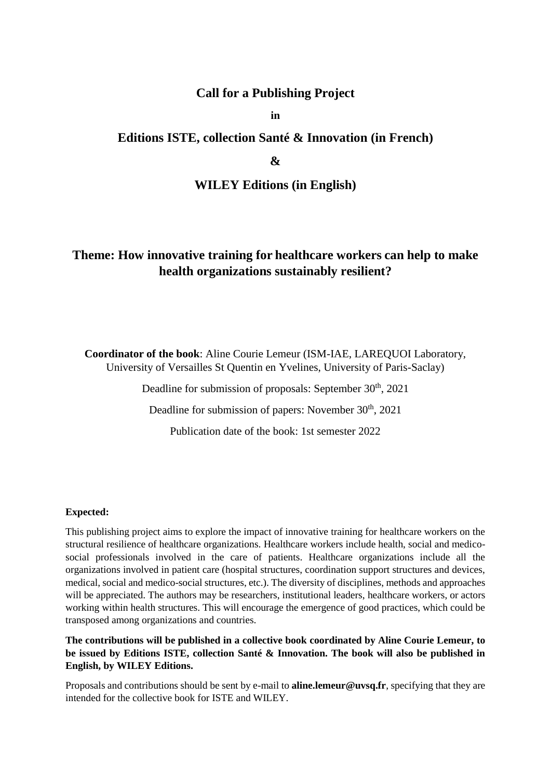## **Call for a Publishing Project**

**in**

## **Editions ISTE, collection Santé & Innovation (in French)**

## **&**

#### **WILEY Editions (in English)**

# **Theme: How innovative training for healthcare workers can help to make health organizations sustainably resilient?**

**Coordinator of the book**: Aline Courie Lemeur (ISM-IAE, LAREQUOI Laboratory, University of Versailles St Quentin en Yvelines, University of Paris-Saclay)

Deadline for submission of proposals: September 30<sup>th</sup>, 2021

Deadline for submission of papers: November 30<sup>th</sup>, 2021

Publication date of the book: 1st semester 2022

#### **Expected:**

This publishing project aims to explore the impact of innovative training for healthcare workers on the structural resilience of healthcare organizations. Healthcare workers include health, social and medicosocial professionals involved in the care of patients. Healthcare organizations include all the organizations involved in patient care (hospital structures, coordination support structures and devices, medical, social and medico-social structures, etc.). The diversity of disciplines, methods and approaches will be appreciated. The authors may be researchers, institutional leaders, healthcare workers, or actors working within health structures. This will encourage the emergence of good practices, which could be transposed among organizations and countries.

**The contributions will be published in a collective book coordinated by Aline Courie Lemeur, to be issued by Editions ISTE, collection Santé & Innovation. The book will also be published in English, by WILEY Editions.**

Proposals and contributions should be sent by e-mail to **aline.lemeur@uvsq.fr**, specifying that they are intended for the collective book for ISTE and WILEY.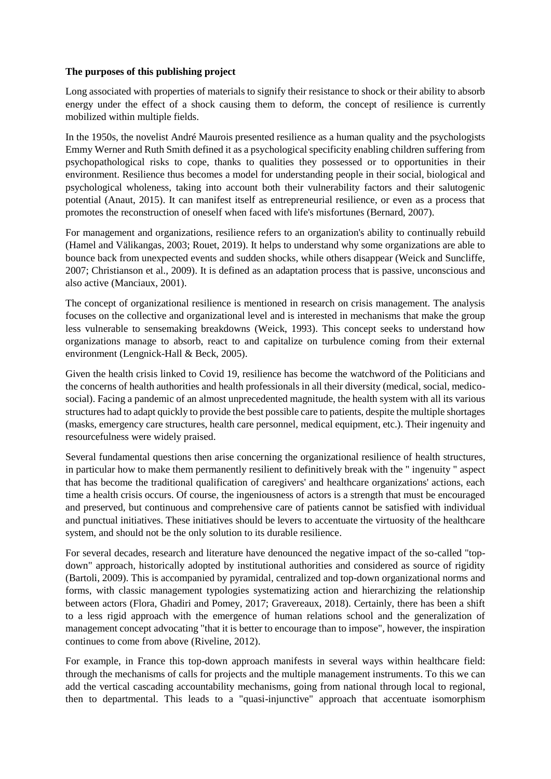#### **The purposes of this publishing project**

Long associated with properties of materials to signify their resistance to shock or their ability to absorb energy under the effect of a shock causing them to deform, the concept of resilience is currently mobilized within multiple fields.

In the 1950s, the novelist André Maurois presented resilience as a human quality and the psychologists Emmy Werner and Ruth Smith defined it as a psychological specificity enabling children suffering from psychopathological risks to cope, thanks to qualities they possessed or to opportunities in their environment. Resilience thus becomes a model for understanding people in their social, biological and psychological wholeness, taking into account both their vulnerability factors and their salutogenic potential (Anaut, 2015). It can manifest itself as entrepreneurial resilience, or even as a process that promotes the reconstruction of oneself when faced with life's misfortunes (Bernard, 2007).

For management and organizations, resilience refers to an organization's ability to continually rebuild (Hamel and Välikangas, 2003; Rouet, 2019). It helps to understand why some organizations are able to bounce back from unexpected events and sudden shocks, while others disappear (Weick and Suncliffe, 2007; Christianson et al., 2009). It is defined as an adaptation process that is passive, unconscious and also active (Manciaux, 2001).

The concept of organizational resilience is mentioned in research on crisis management. The analysis focuses on the collective and organizational level and is interested in mechanisms that make the group less vulnerable to sensemaking breakdowns (Weick, 1993). This concept seeks to understand how organizations manage to absorb, react to and capitalize on turbulence coming from their external environment (Lengnick-Hall & Beck, 2005).

Given the health crisis linked to Covid 19, resilience has become the watchword of the Politicians and the concerns of health authorities and health professionals in all their diversity (medical, social, medicosocial). Facing a pandemic of an almost unprecedented magnitude, the health system with all its various structures had to adapt quickly to provide the best possible care to patients, despite the multiple shortages (masks, emergency care structures, health care personnel, medical equipment, etc.). Their ingenuity and resourcefulness were widely praised.

Several fundamental questions then arise concerning the organizational resilience of health structures, in particular how to make them permanently resilient to definitively break with the " ingenuity " aspect that has become the traditional qualification of caregivers' and healthcare organizations' actions, each time a health crisis occurs. Of course, the ingeniousness of actors is a strength that must be encouraged and preserved, but continuous and comprehensive care of patients cannot be satisfied with individual and punctual initiatives. These initiatives should be levers to accentuate the virtuosity of the healthcare system, and should not be the only solution to its durable resilience.

For several decades, research and literature have denounced the negative impact of the so-called "topdown" approach, historically adopted by institutional authorities and considered as source of rigidity (Bartoli, 2009). This is accompanied by pyramidal, centralized and top-down organizational norms and forms, with classic management typologies systematizing action and hierarchizing the relationship between actors (Flora, Ghadiri and Pomey, 2017; Gravereaux, 2018). Certainly, there has been a shift to a less rigid approach with the emergence of human relations school and the generalization of management concept advocating "that it is better to encourage than to impose", however, the inspiration continues to come from above (Riveline, 2012).

For example, in France this top-down approach manifests in several ways within healthcare field: through the mechanisms of calls for projects and the multiple management instruments. To this we can add the vertical cascading accountability mechanisms, going from national through local to regional, then to departmental. This leads to a "quasi-injunctive" approach that accentuate isomorphism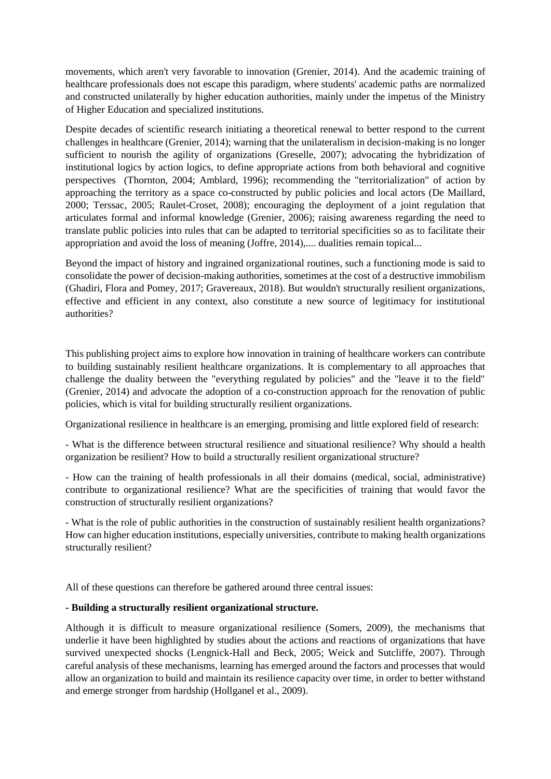movements, which aren't very favorable to innovation (Grenier, 2014). And the academic training of healthcare professionals does not escape this paradigm, where students' academic paths are normalized and constructed unilaterally by higher education authorities, mainly under the impetus of the Ministry of Higher Education and specialized institutions.

Despite decades of scientific research initiating a theoretical renewal to better respond to the current challenges in healthcare (Grenier, 2014); warning that the unilateralism in decision-making is no longer sufficient to nourish the agility of organizations (Greselle, 2007); advocating the hybridization of institutional logics by action logics, to define appropriate actions from both behavioral and cognitive perspectives (Thornton, 2004; Amblard, 1996); recommending the "territorialization" of action by approaching the territory as a space co-constructed by public policies and local actors (De Maillard, 2000; Terssac, 2005; Raulet-Croset, 2008); encouraging the deployment of a joint regulation that articulates formal and informal knowledge (Grenier, 2006); raising awareness regarding the need to translate public policies into rules that can be adapted to territorial specificities so as to facilitate their appropriation and avoid the loss of meaning (Joffre, 2014),.... dualities remain topical...

Beyond the impact of history and ingrained organizational routines, such a functioning mode is said to consolidate the power of decision-making authorities, sometimes at the cost of a destructive immobilism (Ghadiri, Flora and Pomey, 2017; Gravereaux, 2018). But wouldn't structurally resilient organizations, effective and efficient in any context, also constitute a new source of legitimacy for institutional authorities?

This publishing project aims to explore how innovation in training of healthcare workers can contribute to building sustainably resilient healthcare organizations. It is complementary to all approaches that challenge the duality between the "everything regulated by policies" and the "leave it to the field" (Grenier, 2014) and advocate the adoption of a co-construction approach for the renovation of public policies, which is vital for building structurally resilient organizations.

Organizational resilience in healthcare is an emerging, promising and little explored field of research:

- What is the difference between structural resilience and situational resilience? Why should a health organization be resilient? How to build a structurally resilient organizational structure?

- How can the training of health professionals in all their domains (medical, social, administrative) contribute to organizational resilience? What are the specificities of training that would favor the construction of structurally resilient organizations?

- What is the role of public authorities in the construction of sustainably resilient health organizations? How can higher education institutions, especially universities, contribute to making health organizations structurally resilient?

All of these questions can therefore be gathered around three central issues:

#### **- Building a structurally resilient organizational structure.**

Although it is difficult to measure organizational resilience (Somers, 2009), the mechanisms that underlie it have been highlighted by studies about the actions and reactions of organizations that have survived unexpected shocks (Lengnick-Hall and Beck, 2005; Weick and Sutcliffe, 2007). Through careful analysis of these mechanisms, learning has emerged around the factors and processes that would allow an organization to build and maintain its resilience capacity over time, in order to better withstand and emerge stronger from hardship (Hollganel et al., 2009).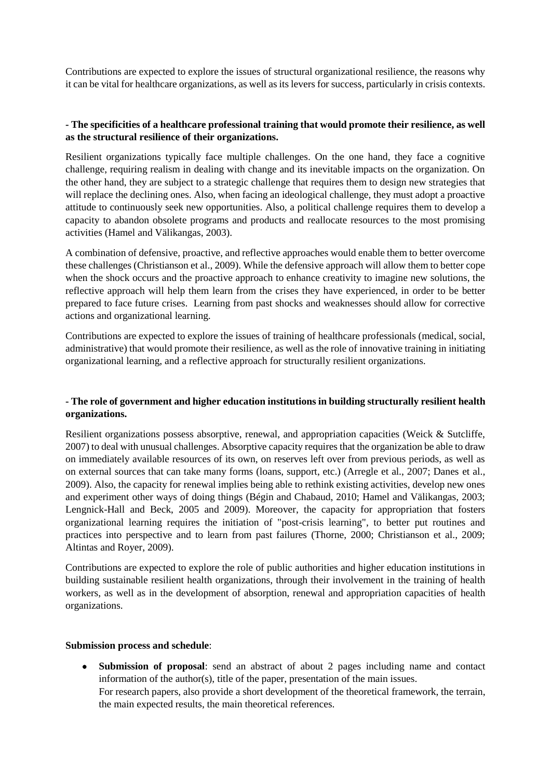Contributions are expected to explore the issues of structural organizational resilience, the reasons why it can be vital for healthcare organizations, as well as its levers for success, particularly in crisis contexts.

#### **- The specificities of a healthcare professional training that would promote their resilience, as well as the structural resilience of their organizations.**

Resilient organizations typically face multiple challenges. On the one hand, they face a cognitive challenge, requiring realism in dealing with change and its inevitable impacts on the organization. On the other hand, they are subject to a strategic challenge that requires them to design new strategies that will replace the declining ones. Also, when facing an ideological challenge, they must adopt a proactive attitude to continuously seek new opportunities. Also, a political challenge requires them to develop a capacity to abandon obsolete programs and products and reallocate resources to the most promising activities (Hamel and Välikangas, 2003).

A combination of defensive, proactive, and reflective approaches would enable them to better overcome these challenges (Christianson et al., 2009). While the defensive approach will allow them to better cope when the shock occurs and the proactive approach to enhance creativity to imagine new solutions, the reflective approach will help them learn from the crises they have experienced, in order to be better prepared to face future crises. Learning from past shocks and weaknesses should allow for corrective actions and organizational learning.

Contributions are expected to explore the issues of training of healthcare professionals (medical, social, administrative) that would promote their resilience, as well as the role of innovative training in initiating organizational learning, and a reflective approach for structurally resilient organizations.

### **- The role of government and higher education institutions in building structurally resilient health organizations.**

Resilient organizations possess absorptive, renewal, and appropriation capacities (Weick & Sutcliffe, 2007) to deal with unusual challenges. Absorptive capacity requires that the organization be able to draw on immediately available resources of its own, on reserves left over from previous periods, as well as on external sources that can take many forms (loans, support, etc.) (Arregle et al., 2007; Danes et al., 2009). Also, the capacity for renewal implies being able to rethink existing activities, develop new ones and experiment other ways of doing things (Bégin and Chabaud, 2010; Hamel and Välikangas, 2003; Lengnick-Hall and Beck, 2005 and 2009). Moreover, the capacity for appropriation that fosters organizational learning requires the initiation of "post-crisis learning", to better put routines and practices into perspective and to learn from past failures (Thorne, 2000; Christianson et al., 2009; Altintas and Royer, 2009).

Contributions are expected to explore the role of public authorities and higher education institutions in building sustainable resilient health organizations, through their involvement in the training of health workers, as well as in the development of absorption, renewal and appropriation capacities of health organizations.

#### **Submission process and schedule**:

 **Submission of proposal**: send an abstract of about 2 pages including name and contact information of the author(s), title of the paper, presentation of the main issues. For research papers, also provide a short development of the theoretical framework, the terrain, the main expected results, the main theoretical references.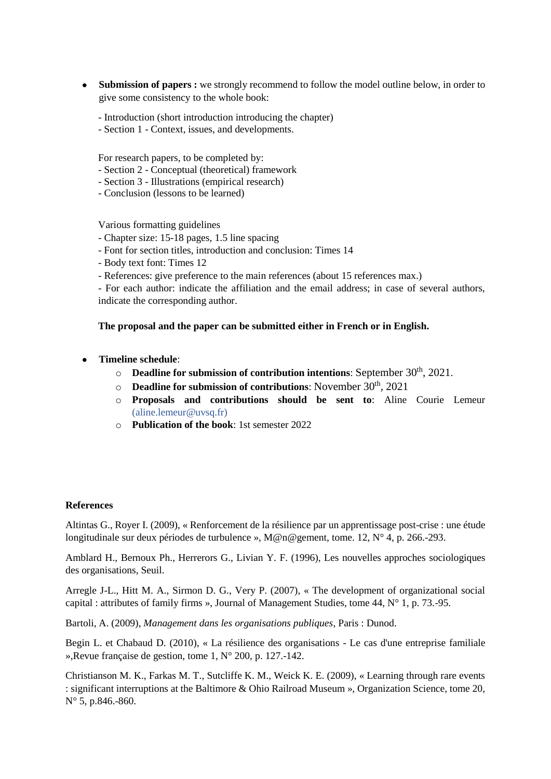- **Submission of papers :** we strongly recommend to follow the model outline below, in order to give some consistency to the whole book:
	- Introduction (short introduction introducing the chapter)
	- Section 1 Context, issues, and developments.

For research papers, to be completed by:

- Section 2 Conceptual (theoretical) framework
- Section 3 Illustrations (empirical research)
- Conclusion (lessons to be learned)

Various formatting guidelines

- Chapter size: 15-18 pages, 1.5 line spacing
- Font for section titles, introduction and conclusion: Times 14
- Body text font: Times 12
- References: give preference to the main references (about 15 references max.)

- For each author: indicate the affiliation and the email address; in case of several authors, indicate the corresponding author.

**The proposal and the paper can be submitted either in French or in English.**

- **Timeline schedule**:
	- o **Deadline for submission of contribution intentions**: September 30<sup>th</sup>, 2021.
	- o **Deadline for submission of contributions**: November 30th , 2021
	- o **Proposals and contributions should be sent to**: Aline Courie Lemeur (aline.lemeur@uvsq.fr)
	- o **Publication of the book**: 1st semester 2022

#### **References**

Altintas G., Royer I. (2009), « Renforcement de la résilience par un apprentissage post-crise : une étude longitudinale sur deux périodes de turbulence », M@n@gement, tome. 12, N° 4, p. 266.-293.

Amblard H., Bernoux Ph., Herrerors G., Livian Y. F. (1996), Les nouvelles approches sociologiques des organisations, Seuil.

Arregle J-L., Hitt M. A., Sirmon D. G., Very P. (2007), « The development of organizational social capital : attributes of family firms », Journal of Management Studies, tome 44, N° 1, p. 73.-95.

Bartoli, A. (2009), *Management dans les organisations publiques*, Paris : Dunod.

Begin L. et Chabaud D. (2010), « La résilience des organisations - Le cas d'une entreprise familiale »,Revue française de gestion, tome 1, N° 200, p. 127.-142.

Christianson M. K., Farkas M. T., Sutcliffe K. M., Weick K. E. (2009), « Learning through rare events : significant interruptions at the Baltimore & Ohio Railroad Museum », Organization Science, tome 20, N° 5, p.846.-860.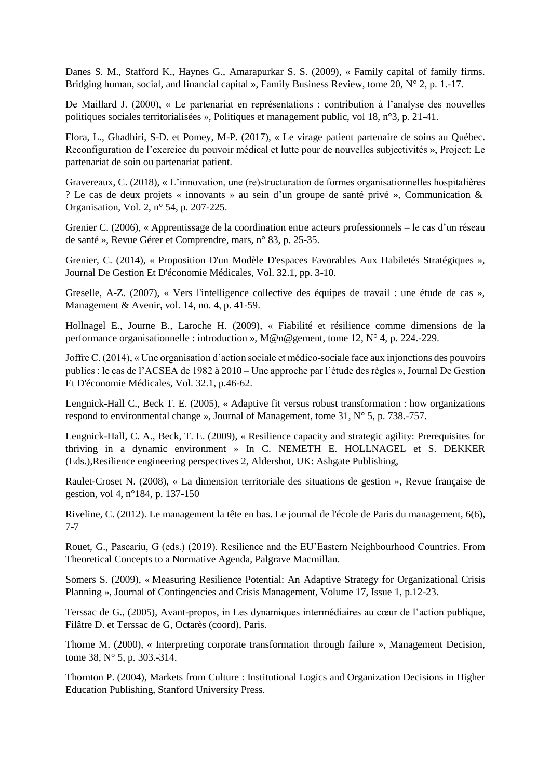Danes S. M., Stafford K., Haynes G., Amarapurkar S. S. (2009), « Family capital of family firms. Bridging human, social, and financial capital », Family Business Review, tome 20, N° 2, p. 1.-17.

De Maillard J. (2000), « Le partenariat en représentations : contribution à l'analyse des nouvelles politiques sociales territorialisées », Politiques et management public, vol 18, n°3, p. 21-41.

Flora, L., Ghadhiri, S-D. et Pomey, M-P. (2017), « Le virage patient partenaire de soins au Québec. Reconfiguration de l'exercice du pouvoir médical et lutte pour de nouvelles subjectivités », Project: Le partenariat de soin ou partenariat patient.

Gravereaux, C. (2018), « L'innovation, une (re)structuration de formes organisationnelles hospitalières ? Le cas de deux projets « innovants » au sein d'un groupe de santé privé », Communication & Organisation, Vol. 2, n° 54, p. 207-225.

Grenier C. (2006), « Apprentissage de la coordination entre acteurs professionnels – le cas d'un réseau de santé », Revue Gérer et Comprendre, mars, n° 83, p. 25-35.

Grenier, C. (2014), « Proposition D'un Modèle D'espaces Favorables Aux Habiletés Stratégiques », Journal De Gestion Et D'économie Médicales, Vol. 32.1, pp. 3-10.

Greselle, A-Z. (2007), « Vers l'intelligence collective des équipes de travail : une étude de cas », Management & Avenir, vol. 14, no. 4, p. 41-59.

Hollnagel E., Journe B., Laroche H. (2009), « Fiabilité et résilience comme dimensions de la performance organisationnelle : introduction », M@n@gement, tome 12, N° 4, p. 224.-229.

Joffre C. (2014), « Une organisation d'action sociale et médico-sociale face aux injonctions des pouvoirs publics : le cas de l'ACSEA de 1982 à 2010 – Une approche par l'étude des règles », Journal De Gestion Et D'économie Médicales, Vol. 32.1, p.46-62.

Lengnick-Hall C., Beck T. E. (2005), « Adaptive fit versus robust transformation : how organizations respond to environmental change », Journal of Management, tome 31, N° 5, p. 738.-757.

Lengnick-Hall, C. A., Beck, T. E. (2009), « Resilience capacity and strategic agility: Prerequisites for thriving in a dynamic environment » In C. NEMETH E. HOLLNAGEL et S. DEKKER (Eds.),Resilience engineering perspectives 2, Aldershot, UK: Ashgate Publishing,

Raulet-Croset N. (2008), « La dimension territoriale des situations de gestion », Revue française de gestion, vol 4, n°184, p. 137-150

Riveline, C. (2012). Le management la tête en bas. Le journal de l'école de Paris du management, 6(6), 7-7

Rouet, G., Pascariu, G (eds.) (2019). Resilience and the EU'Eastern Neighbourhood Countries. From Theoretical Concepts to a Normative Agenda, Palgrave Macmillan.

Somers S. (2009), « Measuring Resilience Potential: An Adaptive Strategy for Organizational Crisis Planning », Journal of Contingencies and Crisis Management, Volume 17, Issue 1, p.12-23.

Terssac de G., (2005), Avant-propos, in Les dynamiques intermédiaires au cœur de l'action publique, Filâtre D. et Terssac de G, Octarès (coord), Paris.

Thorne M. (2000), « Interpreting corporate transformation through failure », Management Decision, tome 38, N° 5, p. 303.-314.

Thornton P. (2004), Markets from Culture : Institutional Logics and Organization Decisions in Higher Education Publishing, Stanford University Press.